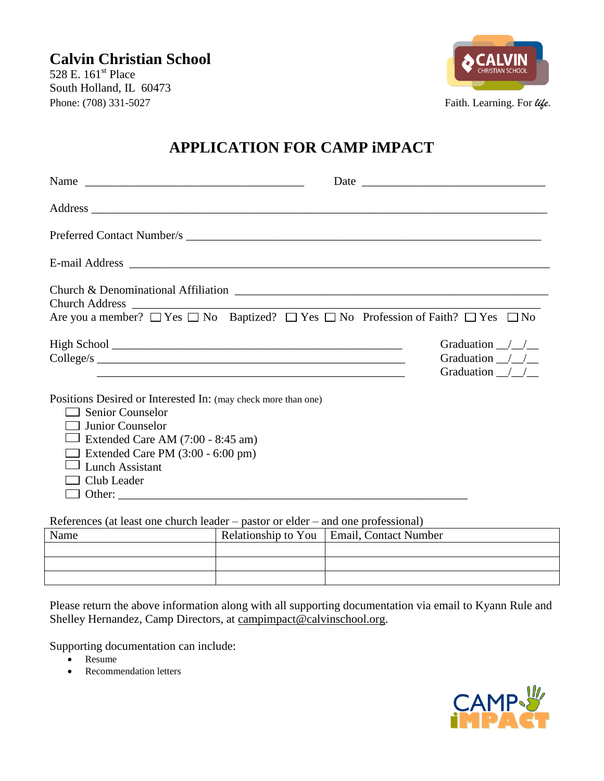528 E. 161<sup>st</sup> Place South Holland, IL 60473 Phone: (708) 331-5027 Faith. Learning. For *life*.



## **APPLICATION FOR CAMP iMPACT**

| Preferred Contact Number/s                                                                                                                                                                                                         |                                                                               |
|------------------------------------------------------------------------------------------------------------------------------------------------------------------------------------------------------------------------------------|-------------------------------------------------------------------------------|
|                                                                                                                                                                                                                                    |                                                                               |
| Are you a member? $\Box$ Yes $\Box$ No Baptized? $\Box$ Yes $\Box$ No Profession of Faith? $\Box$ Yes $\Box$ No                                                                                                                    | Graduation $\frac{\sqrt{}}{\sqrt{}}$<br>Graduation / /<br>Graduation $\angle$ |
| Positions Desired or Interested In: (may check more than one)<br><b>Senior Counselor</b><br>Junior Counselor<br>Extended Care AM (7:00 - 8:45 am)<br>Extended Care PM $(3:00 - 6:00)$ pm)<br><b>Lunch Assistant</b><br>Club Leader |                                                                               |

References (at least one church leader – pastor or elder – and one professional)

| Name | Relationship to You   Email, Contact Number |
|------|---------------------------------------------|
|      |                                             |
|      |                                             |
|      |                                             |

Please return the above information along with all supporting documentation via email to Kyann Rule and Shelley Hernandez, Camp Directors, at campimpact@calvinschool.org.

Supporting documentation can include:

- Resume
- Recommendation letters

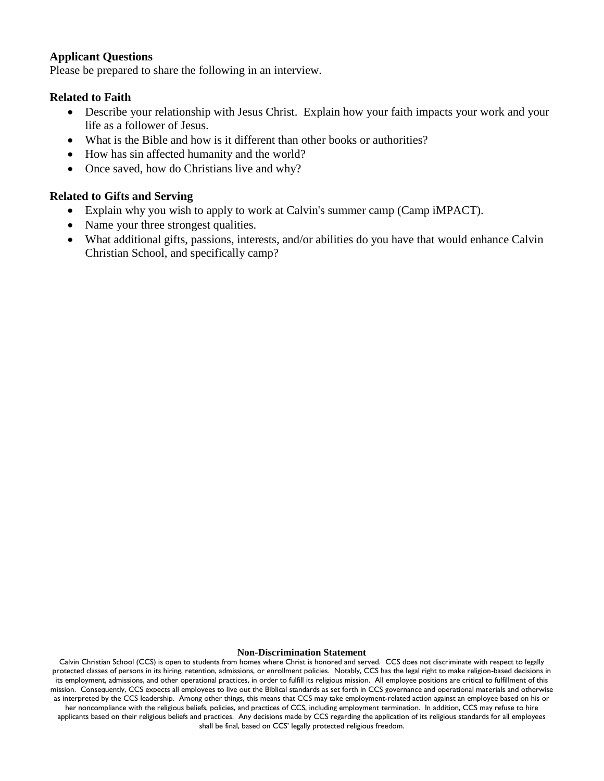#### **Applicant Questions**

Please be prepared to share the following in an interview.

#### **Related to Faith**

- Describe your relationship with Jesus Christ. Explain how your faith impacts your work and your life as a follower of Jesus.
- What is the Bible and how is it different than other books or authorities?
- How has sin affected humanity and the world?
- Once saved, how do Christians live and why?

#### **Related to Gifts and Serving**

- Explain why you wish to apply to work at Calvin's summer camp (Camp iMPACT).
- Name your three strongest qualities.
- What additional gifts, passions, interests, and/or abilities do you have that would enhance Calvin Christian School, and specifically camp?

#### **Non-Discrimination Statement**

Calvin Christian School (CCS) is open to students from homes where Christ is honored and served. CCS does not discriminate with respect to legally protected classes of persons in its hiring, retention, admissions, or enrollment policies. Notably, CCS has the legal right to make religion-based decisions in its employment, admissions, and other operational practices, in order to fulfill its religious mission. All employee positions are critical to fulfillment of this mission. Consequently, CCS expects all employees to live out the Biblical standards as set forth in CCS governance and operational materials and otherwise as interpreted by the CCS leadership. Among other things, this means that CCS may take employment-related action against an employee based on his or her noncompliance with the religious beliefs, policies, and practices of CCS, including employment termination. In addition, CCS may refuse to hire applicants based on their religious beliefs and practices. Any decisions made by CCS regarding the application of its religious standards for all employees shall be final, based on CCS' legally protected religious freedom.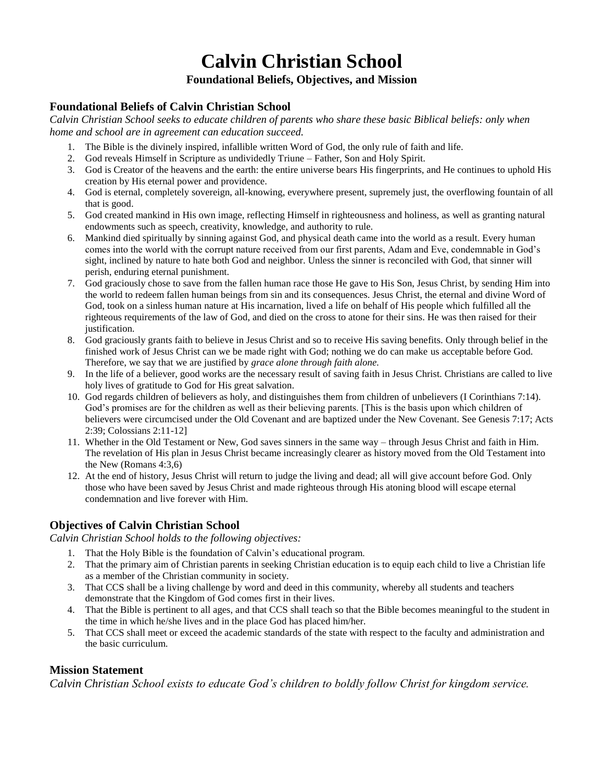# **Calvin Christian School**

#### **Foundational Beliefs, Objectives, and Mission**

### **Foundational Beliefs of Calvin Christian School**

*Calvin Christian School seeks to educate children of parents who share these basic Biblical beliefs: only when home and school are in agreement can education succeed.*

- 1. The Bible is the divinely inspired, infallible written Word of God, the only rule of faith and life.
- 2. God reveals Himself in Scripture as undividedly Triune Father, Son and Holy Spirit.
- 3. God is Creator of the heavens and the earth: the entire universe bears His fingerprints, and He continues to uphold His creation by His eternal power and providence.
- 4. God is eternal, completely sovereign, all-knowing, everywhere present, supremely just, the overflowing fountain of all that is good.
- 5. God created mankind in His own image, reflecting Himself in righteousness and holiness, as well as granting natural endowments such as speech, creativity, knowledge, and authority to rule.
- 6. Mankind died spiritually by sinning against God, and physical death came into the world as a result. Every human comes into the world with the corrupt nature received from our first parents, Adam and Eve, condemnable in God's sight, inclined by nature to hate both God and neighbor. Unless the sinner is reconciled with God, that sinner will perish, enduring eternal punishment.
- 7. God graciously chose to save from the fallen human race those He gave to His Son, Jesus Christ, by sending Him into the world to redeem fallen human beings from sin and its consequences. Jesus Christ, the eternal and divine Word of God, took on a sinless human nature at His incarnation, lived a life on behalf of His people which fulfilled all the righteous requirements of the law of God, and died on the cross to atone for their sins. He was then raised for their justification.
- 8. God graciously grants faith to believe in Jesus Christ and so to receive His saving benefits. Only through belief in the finished work of Jesus Christ can we be made right with God; nothing we do can make us acceptable before God. Therefore, we say that we are justified by *grace alone through faith alone.*
- 9. In the life of a believer, good works are the necessary result of saving faith in Jesus Christ. Christians are called to live holy lives of gratitude to God for His great salvation.
- 10. God regards children of believers as holy, and distinguishes them from children of unbelievers (I Corinthians 7:14). God's promises are for the children as well as their believing parents. [This is the basis upon which children of believers were circumcised under the Old Covenant and are baptized under the New Covenant. See Genesis 7:17; Acts 2:39; Colossians 2:11-12]
- 11. Whether in the Old Testament or New, God saves sinners in the same way through Jesus Christ and faith in Him. The revelation of His plan in Jesus Christ became increasingly clearer as history moved from the Old Testament into the New (Romans 4:3,6)
- 12. At the end of history, Jesus Christ will return to judge the living and dead; all will give account before God. Only those who have been saved by Jesus Christ and made righteous through His atoning blood will escape eternal condemnation and live forever with Him.

#### **Objectives of Calvin Christian School**

*Calvin Christian School holds to the following objectives:*

- 1. That the Holy Bible is the foundation of Calvin's educational program.
- 2. That the primary aim of Christian parents in seeking Christian education is to equip each child to live a Christian life as a member of the Christian community in society.
- 3. That CCS shall be a living challenge by word and deed in this community, whereby all students and teachers demonstrate that the Kingdom of God comes first in their lives.
- 4. That the Bible is pertinent to all ages, and that CCS shall teach so that the Bible becomes meaningful to the student in the time in which he/she lives and in the place God has placed him/her.
- 5. That CCS shall meet or exceed the academic standards of the state with respect to the faculty and administration and the basic curriculum.

#### **Mission Statement**

*Calvin Christian School exists to educate God's children to boldly follow Christ for kingdom service.*